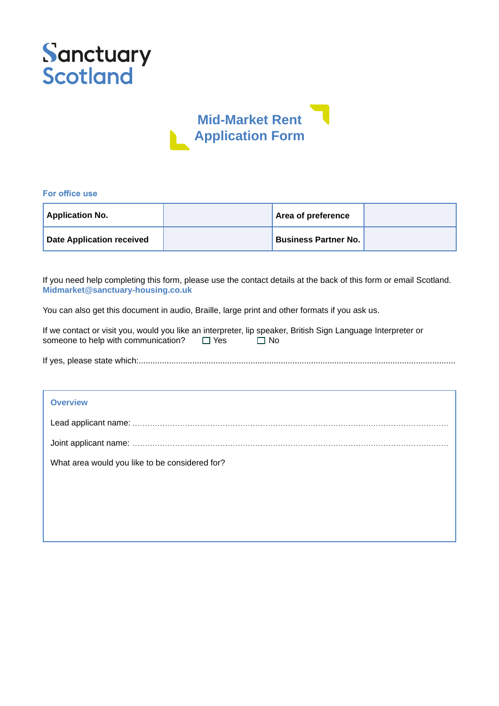



#### **For office use**

| <b>Application No.</b>    | Area of preference          |  |
|---------------------------|-----------------------------|--|
| Date Application received | <b>Business Partner No.</b> |  |

If you need help completing this form, please use the contact details at the back of this form or email Scotland. **Midmarket@sanctuary-housing.co.uk**

You can also get this document in audio, Braille, large print and other formats if you ask us.

| If we contact or visit you, would you like an interpreter, lip speaker, British Sign Language Interpreter or |            |      |  |
|--------------------------------------------------------------------------------------------------------------|------------|------|--|
| someone to help with communication?                                                                          | $\Box$ Yes | ⊟ No |  |

| <b>Overview</b>                                |
|------------------------------------------------|
|                                                |
|                                                |
| What area would you like to be considered for? |
|                                                |
|                                                |
|                                                |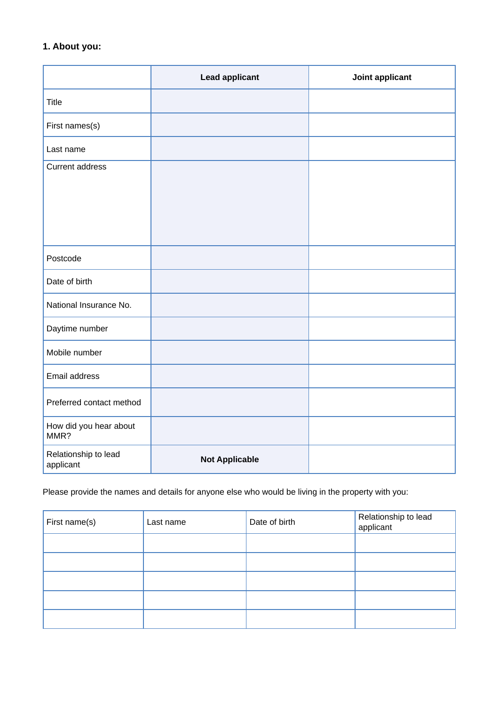# **1. About you:**

|                                   | <b>Lead applicant</b> | Joint applicant |
|-----------------------------------|-----------------------|-----------------|
| Title                             |                       |                 |
| First names(s)                    |                       |                 |
| Last name                         |                       |                 |
| <b>Current address</b>            |                       |                 |
|                                   |                       |                 |
|                                   |                       |                 |
|                                   |                       |                 |
| Postcode                          |                       |                 |
| Date of birth                     |                       |                 |
| National Insurance No.            |                       |                 |
| Daytime number                    |                       |                 |
| Mobile number                     |                       |                 |
| Email address                     |                       |                 |
| Preferred contact method          |                       |                 |
| How did you hear about<br>MMR?    |                       |                 |
| Relationship to lead<br>applicant | <b>Not Applicable</b> |                 |

Please provide the names and details for anyone else who would be living in the property with you:

| First name(s) | Last name | Date of birth | Relationship to lead<br>applicant |
|---------------|-----------|---------------|-----------------------------------|
|               |           |               |                                   |
|               |           |               |                                   |
|               |           |               |                                   |
|               |           |               |                                   |
|               |           |               |                                   |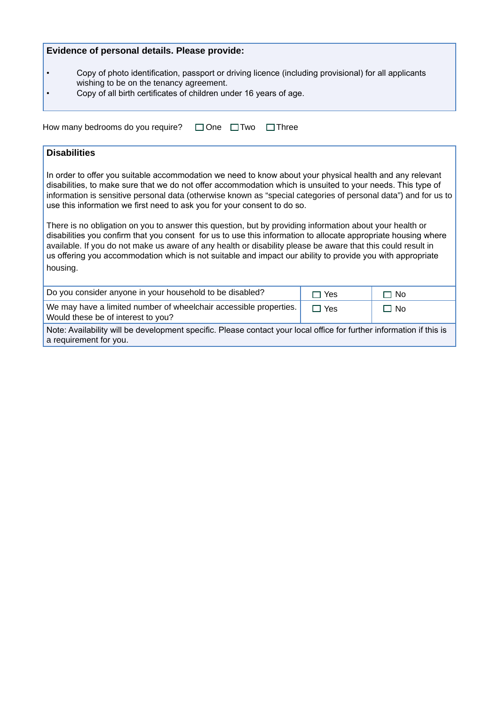# **Evidence of personal details. Please provide:**

- • Copy of photo identification, passport or driving licence (including provisional) for all applicants wishing to be on the tenancy agreement.
- • Copy of all birth certificates of children under 16 years of age.

| How many bedrooms do you require? □ One □ Two □ Three |  |  |
|-------------------------------------------------------|--|--|
|                                                       |  |  |

# **Disabilities**

In order to offer you suitable accommodation we need to know about your physical health and any relevant disabilities, to make sure that we do not offer accommodation which is unsuited to your needs. This type of information is sensitive personal data (otherwise known as "special categories of personal data") and for us to use this information we first need to ask you for your consent to do so.

There is no obligation on you to answer this question, but by providing information about your health or disabilities you confirm that you consent for us to use this information to allocate appropriate housing where available. If you do not make us aware of any health or disability please be aware that this could result in us offering you accommodation which is not suitable and impact our ability to provide you with appropriate housing.

| Do you consider anyone in your household to be disabled?                                                                                       | $\Box$ Yes | $\Box$ No |  |
|------------------------------------------------------------------------------------------------------------------------------------------------|------------|-----------|--|
| We may have a limited number of wheelchair accessible properties.<br>Would these be of interest to you?                                        | $\Box$ Yes | $\Box$ No |  |
| Note: Availability will be development specific. Please contact your local office for further information if this is<br>a requirement for you. |            |           |  |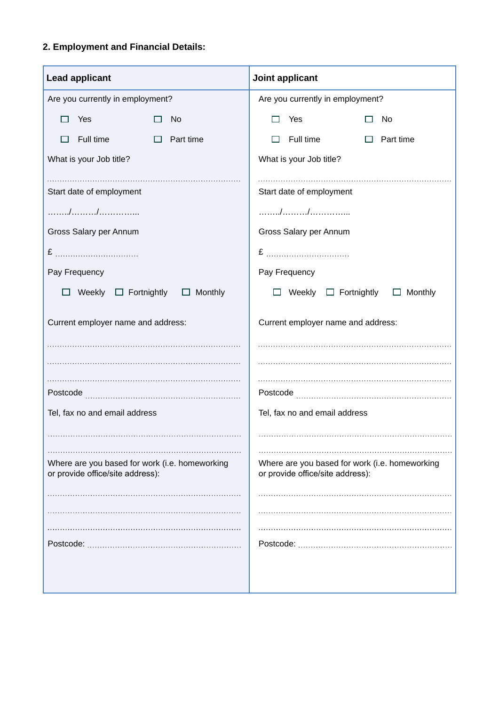# **2. Employment and Financial Details:**

| <b>Lead applicant</b>                                                              | Joint applicant                                                                    |  |  |
|------------------------------------------------------------------------------------|------------------------------------------------------------------------------------|--|--|
| Are you currently in employment?                                                   | Are you currently in employment?                                                   |  |  |
| Yes<br>No                                                                          | Yes<br>No                                                                          |  |  |
| Full time<br>$\Box$ Part time                                                      | Full time<br>Part time                                                             |  |  |
| What is your Job title?                                                            | What is your Job title?                                                            |  |  |
| Start date of employment                                                           | Start date of employment                                                           |  |  |
| . / /                                                                              |                                                                                    |  |  |
| Gross Salary per Annum                                                             | Gross Salary per Annum                                                             |  |  |
|                                                                                    |                                                                                    |  |  |
| Pay Frequency                                                                      | Pay Frequency                                                                      |  |  |
| $\Box$ Weekly $\Box$ Fortnightly $\Box$ Monthly                                    | Weekly $\Box$ Fortnightly $\Box$ Monthly                                           |  |  |
| Current employer name and address:                                                 | Current employer name and address:                                                 |  |  |
|                                                                                    |                                                                                    |  |  |
|                                                                                    |                                                                                    |  |  |
|                                                                                    |                                                                                    |  |  |
| Tel, fax no and email address                                                      | Tel, fax no and email address                                                      |  |  |
|                                                                                    |                                                                                    |  |  |
| Where are you based for work (i.e. homeworking<br>or provide office/site address): | Where are you based for work (i.e. homeworking<br>or provide office/site address): |  |  |
|                                                                                    |                                                                                    |  |  |
|                                                                                    |                                                                                    |  |  |
|                                                                                    |                                                                                    |  |  |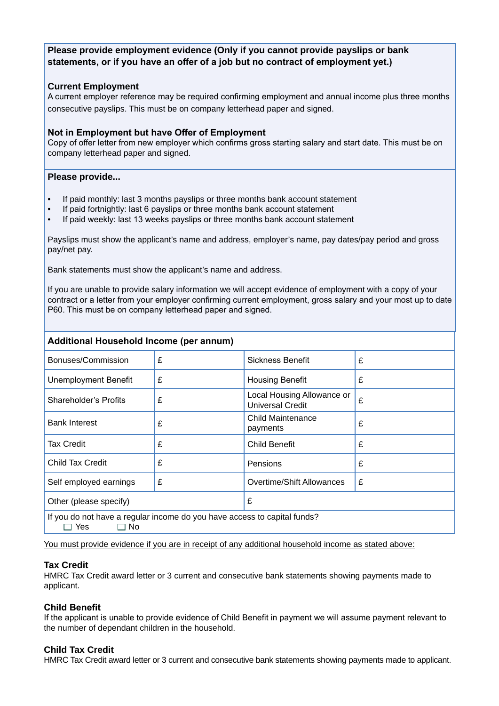# **Please provide employment evidence (Only if you cannot provide payslips or bank statements, or if you have an offer of a job but no contract of employment yet.)**

# **Current Employment**

A current employer reference may be required confirming employment and annual income plus three months consecutive payslips. This must be on company letterhead paper and signed.

#### **Not in Employment but have Offer of Employment**

Copy of offer letter from new employer which confirms gross starting salary and start date. This must be on company letterhead paper and signed.

#### **Please provide...**

- If paid monthly: last 3 months payslips or three months bank account statement
- If paid fortnightly: last 6 payslips or three months bank account statement
- If paid weekly: last 13 weeks payslips or three months bank account statement

Payslips must show the applicant's name and address, employer's name, pay dates/pay period and gross pay/net pay.

Bank statements must show the applicant's name and address.

If you are unable to provide salary information we will accept evidence of employment with a copy of your contract or a letter from your employer confirming current employment, gross salary and your most up to date P60. This must be on company letterhead paper and signed.

# **Additional Household Income (per annum)**

| Bonuses/Commission                                                                              | £ | <b>Sickness Benefit</b>                               | £ |
|-------------------------------------------------------------------------------------------------|---|-------------------------------------------------------|---|
| <b>Unemployment Benefit</b>                                                                     | £ | <b>Housing Benefit</b>                                | £ |
| Shareholder's Profits                                                                           | £ | Local Housing Allowance or<br><b>Universal Credit</b> | £ |
| <b>Bank Interest</b>                                                                            | £ | <b>Child Maintenance</b><br>payments                  | £ |
| Tax Credit                                                                                      | £ | <b>Child Benefit</b>                                  | £ |
| Child Tax Credit                                                                                | £ | Pensions                                              | £ |
| Self employed earnings                                                                          | £ | Overtime/Shift Allowances                             | £ |
| Other (please specify)                                                                          |   | £                                                     |   |
| If you do not have a regular income do you have access to capital funds?<br>Yes<br>$\square$ No |   |                                                       |   |

You must provide evidence if you are in receipt of any additional household income as stated above:

#### **Tax Credit**

HMRC Tax Credit award letter or 3 current and consecutive bank statements showing payments made to applicant.

#### **Child Benefit**

If the applicant is unable to provide evidence of Child Benefit in payment we will assume payment relevant to the number of dependant children in the household.

# **Child Tax Credit**

HMRC Tax Credit award letter or 3 current and consecutive bank statements showing payments made to applicant.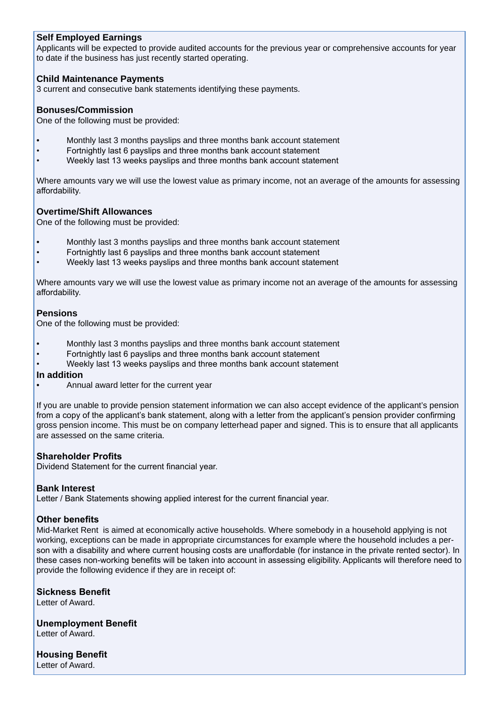# **Self Employed Earnings**

Applicants will be expected to provide audited accounts for the previous year or comprehensive accounts for year to date if the business has just recently started operating.

# **Child Maintenance Payments**

3 current and consecutive bank statements identifying these payments.

#### **Bonuses/Commission**

One of the following must be provided:

- Monthly last 3 months payslips and three months bank account statement
- Fortnightly last 6 payslips and three months bank account statement
- Weekly last 13 weeks payslips and three months bank account statement

Where amounts vary we will use the lowest value as primary income, not an average of the amounts for assessing affordability.

# **Overtime/Shift Allowances**

One of the following must be provided:

- Monthly last 3 months payslips and three months bank account statement
- Fortnightly last 6 payslips and three months bank account statement
- Weekly last 13 weeks payslips and three months bank account statement

Where amounts vary we will use the lowest value as primary income not an average of the amounts for assessing affordability.

#### **Pensions**

One of the following must be provided:

- Monthly last 3 months payslips and three months bank account statement
- Fortnightly last 6 payslips and three months bank account statement
- Weekly last 13 weeks payslips and three months bank account statement

#### **In addition**

• Annual award letter for the current year

If you are unable to provide pension statement information we can also accept evidence of the applicant's pension from a copy of the applicant's bank statement, along with a letter from the applicant's pension provider confirming gross pension income. This must be on company letterhead paper and signed. This is to ensure that all applicants are assessed on the same criteria.

#### **Shareholder Profits**

Dividend Statement for the current financial year.

#### **Bank Interest**

Letter / Bank Statements showing applied interest for the current financial year.

# **Other benefits**

Mid-Market Rent is aimed at economically active households. Where somebody in a household applying is not working, exceptions can be made in appropriate circumstances for example where the household includes a person with a disability and where current housing costs are unaffordable (for instance in the private rented sector). In these cases non-working benefits will be taken into account in assessing eligibility. Applicants will therefore need to provide the following evidence if they are in receipt of:

# **Sickness Benefit**

Letter of Award.

**Unemployment Benefit**  Letter of Award.

**Housing Benefit**  Letter of Award.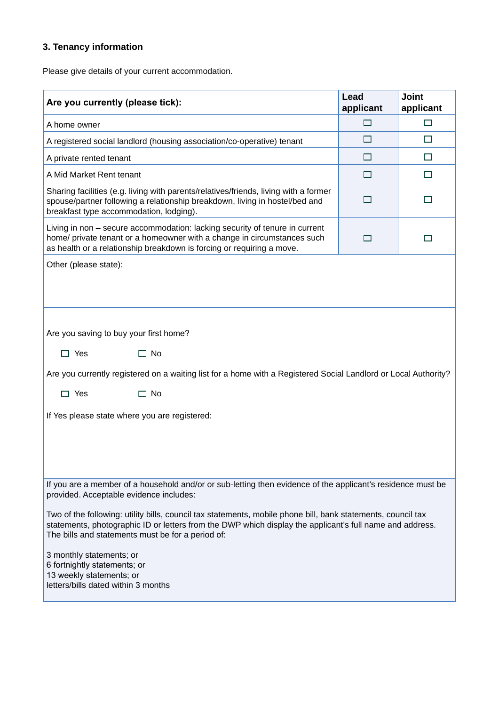# **3. Tenancy information**

Please give details of your current accommodation.

| Are you currently (please tick):                                                                                                                                                                                                                                                                                                                                                                                                                                                                                                                                       | Lead<br>applicant | <b>Joint</b><br>applicant |  |  |
|------------------------------------------------------------------------------------------------------------------------------------------------------------------------------------------------------------------------------------------------------------------------------------------------------------------------------------------------------------------------------------------------------------------------------------------------------------------------------------------------------------------------------------------------------------------------|-------------------|---------------------------|--|--|
| A home owner                                                                                                                                                                                                                                                                                                                                                                                                                                                                                                                                                           | П                 | $\Box$                    |  |  |
| A registered social landlord (housing association/co-operative) tenant                                                                                                                                                                                                                                                                                                                                                                                                                                                                                                 | □                 | $\Box$                    |  |  |
| A private rented tenant                                                                                                                                                                                                                                                                                                                                                                                                                                                                                                                                                | П                 | □                         |  |  |
| A Mid Market Rent tenant                                                                                                                                                                                                                                                                                                                                                                                                                                                                                                                                               | $\Box$            | $\Box$                    |  |  |
| Sharing facilities (e.g. living with parents/relatives/friends, living with a former<br>spouse/partner following a relationship breakdown, living in hostel/bed and<br>breakfast type accommodation, lodging).                                                                                                                                                                                                                                                                                                                                                         | П                 | П                         |  |  |
| Living in non - secure accommodation: lacking security of tenure in current<br>home/ private tenant or a homeowner with a change in circumstances such<br>as health or a relationship breakdown is forcing or requiring a move.                                                                                                                                                                                                                                                                                                                                        | П                 |                           |  |  |
| Other (please state):                                                                                                                                                                                                                                                                                                                                                                                                                                                                                                                                                  |                   |                           |  |  |
| Are you saving to buy your first home?<br>$\Box$ Yes<br>$\Box$ No<br>Are you currently registered on a waiting list for a home with a Registered Social Landlord or Local Authority?<br>$\Box$ Yes<br>$\Box$ No<br>If Yes please state where you are registered:                                                                                                                                                                                                                                                                                                       |                   |                           |  |  |
| If you are a member of a household and/or or sub-letting then evidence of the applicant's residence must be<br>provided. Acceptable evidence includes:<br>Two of the following: utility bills, council tax statements, mobile phone bill, bank statements, council tax<br>statements, photographic ID or letters from the DWP which display the applicant's full name and address.<br>The bills and statements must be for a period of:<br>3 monthly statements; or<br>6 fortnightly statements; or<br>13 weekly statements; or<br>letters/bills dated within 3 months |                   |                           |  |  |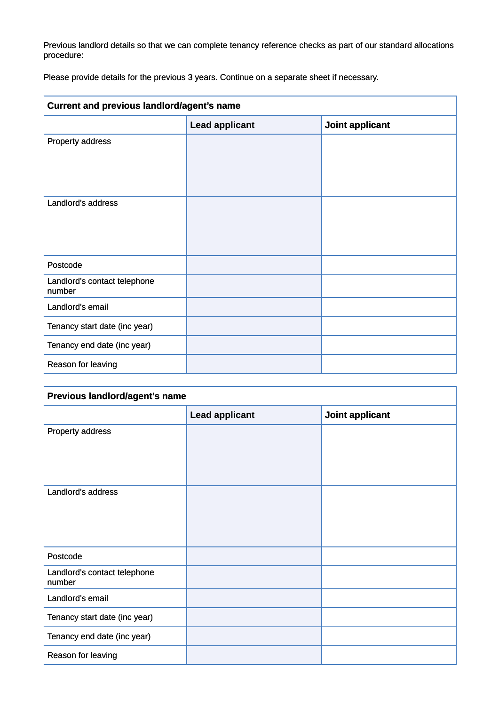Previous landlord details so that we can complete tenancy reference checks as part of our standard allocations procedure:

Please provide details for the previous 3 years. Continue on a separate sheet if necessary.

| Current and previous landlord/agent's name |                       |                 |  |
|--------------------------------------------|-----------------------|-----------------|--|
|                                            | <b>Lead applicant</b> | Joint applicant |  |
| Property address                           |                       |                 |  |
|                                            |                       |                 |  |
|                                            |                       |                 |  |
| Landlord's address                         |                       |                 |  |
|                                            |                       |                 |  |
|                                            |                       |                 |  |
|                                            |                       |                 |  |
| Postcode                                   |                       |                 |  |
| Landlord's contact telephone<br>number     |                       |                 |  |
| Landlord's email                           |                       |                 |  |
| Tenancy start date (inc year)              |                       |                 |  |
| Tenancy end date (inc year)                |                       |                 |  |
| Reason for leaving                         |                       |                 |  |

| Previous landlord/agent's name         |                       |                 |  |  |
|----------------------------------------|-----------------------|-----------------|--|--|
|                                        | <b>Lead applicant</b> | Joint applicant |  |  |
| Property address                       |                       |                 |  |  |
|                                        |                       |                 |  |  |
|                                        |                       |                 |  |  |
| Landlord's address                     |                       |                 |  |  |
|                                        |                       |                 |  |  |
|                                        |                       |                 |  |  |
|                                        |                       |                 |  |  |
|                                        |                       |                 |  |  |
| Postcode                               |                       |                 |  |  |
| Landlord's contact telephone<br>number |                       |                 |  |  |
| Landlord's email                       |                       |                 |  |  |
| Tenancy start date (inc year)          |                       |                 |  |  |
| Tenancy end date (inc year)            |                       |                 |  |  |
| Reason for leaving                     |                       |                 |  |  |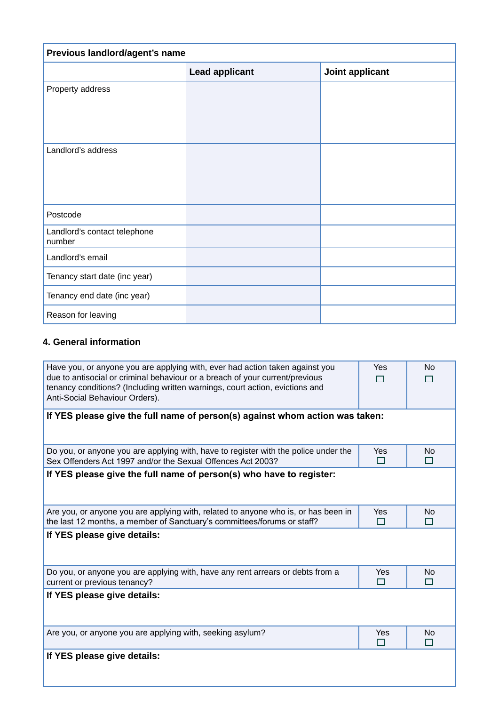| Previous landlord/agent's name         |                       |                 |  |  |
|----------------------------------------|-----------------------|-----------------|--|--|
|                                        | <b>Lead applicant</b> | Joint applicant |  |  |
| Property address                       |                       |                 |  |  |
|                                        |                       |                 |  |  |
|                                        |                       |                 |  |  |
| Landlord's address                     |                       |                 |  |  |
|                                        |                       |                 |  |  |
|                                        |                       |                 |  |  |
|                                        |                       |                 |  |  |
| Postcode                               |                       |                 |  |  |
| Landlord's contact telephone<br>number |                       |                 |  |  |
| Landlord's email                       |                       |                 |  |  |
| Tenancy start date (inc year)          |                       |                 |  |  |
| Tenancy end date (inc year)            |                       |                 |  |  |
| Reason for leaving                     |                       |                 |  |  |

# **4. General information**

| Have you, or anyone you are applying with, ever had action taken against you<br>due to antisocial or criminal behaviour or a breach of your current/previous<br>tenancy conditions? (Including written warnings, court action, evictions and<br>Anti-Social Behaviour Orders). |          | No       |  |  |  |
|--------------------------------------------------------------------------------------------------------------------------------------------------------------------------------------------------------------------------------------------------------------------------------|----------|----------|--|--|--|
| If YES please give the full name of person(s) against whom action was taken:                                                                                                                                                                                                   |          |          |  |  |  |
| Do you, or anyone you are applying with, have to register with the police under the<br>Sex Offenders Act 1997 and/or the Sexual Offences Act 2003?                                                                                                                             | Yes<br>⊓ | No.<br>П |  |  |  |
| If YES please give the full name of person(s) who have to register:                                                                                                                                                                                                            |          |          |  |  |  |
| Are you, or anyone you are applying with, related to anyone who is, or has been in<br>the last 12 months, a member of Sanctuary's committees/forums or staff?                                                                                                                  | Yes<br>⊓ | No<br>П  |  |  |  |
| If YES please give details:                                                                                                                                                                                                                                                    |          |          |  |  |  |
| Do you, or anyone you are applying with, have any rent arrears or debts from a<br>current or previous tenancy?                                                                                                                                                                 | Yes<br>П | No<br>П  |  |  |  |
| If YES please give details:                                                                                                                                                                                                                                                    |          |          |  |  |  |
| Are you, or anyone you are applying with, seeking asylum?                                                                                                                                                                                                                      | Yes<br>⊓ | No<br>П  |  |  |  |
| If YES please give details:                                                                                                                                                                                                                                                    |          |          |  |  |  |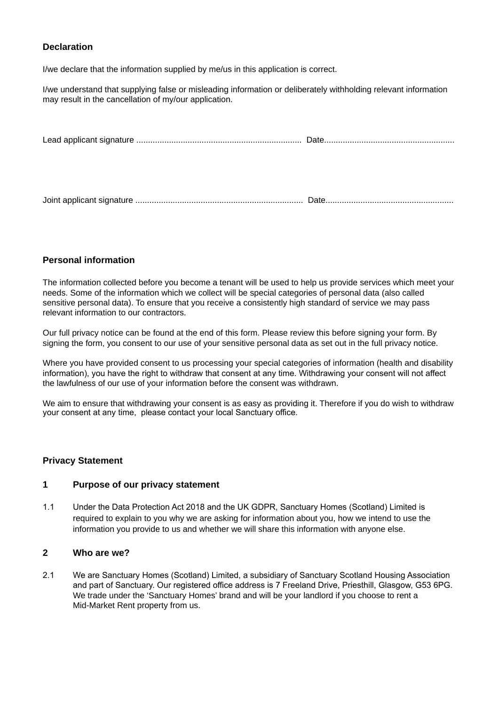# **Declaration**

I/we declare that the information supplied by me/us in this application is correct.

I/we understand that supplying false or misleading information or deliberately withholding relevant information may result in the cancellation of my/our application.

# **Personal information**

The information collected before you become a tenant will be used to help us provide services which meet your needs. Some of the information which we collect will be special categories of personal data (also called sensitive personal data). To ensure that you receive a consistently high standard of service we may pass relevant information to our contractors.

Our full privacy notice can be found at the end of this form. Please review this before signing your form. By signing the form, you consent to our use of your sensitive personal data as set out in the full privacy notice.

Where you have provided consent to us processing your special categories of information (health and disability information), you have the right to withdraw that consent at any time. Withdrawing your consent will not affect the lawfulness of our use of your information before the consent was withdrawn.

We aim to ensure that withdrawing your consent is as easy as providing it. Therefore if you do wish to withdraw your consent at any time, please contact your local Sanctuary office.

#### **Privacy Statement**

# **1 Purpose of our privacy statement**

1.1 Under the Data Protection Act 2018 and the UK GDPR, Sanctuary Homes (Scotland) Limited is required to explain to you why we are asking for information about you, how we intend to use the information you provide to us and whether we will share this information with anyone else.

#### **2 Who are we?**

2.1 We are Sanctuary Homes (Scotland) Limited, a subsidiary of Sanctuary Scotland Housing Association and part of Sanctuary. Our registered office address is 7 Freeland Drive, Priesthill, Glasgow, G53 6PG. We trade under the 'Sanctuary Homes' brand and will be your landlord if you choose to rent a Mid-Market Rent property from us.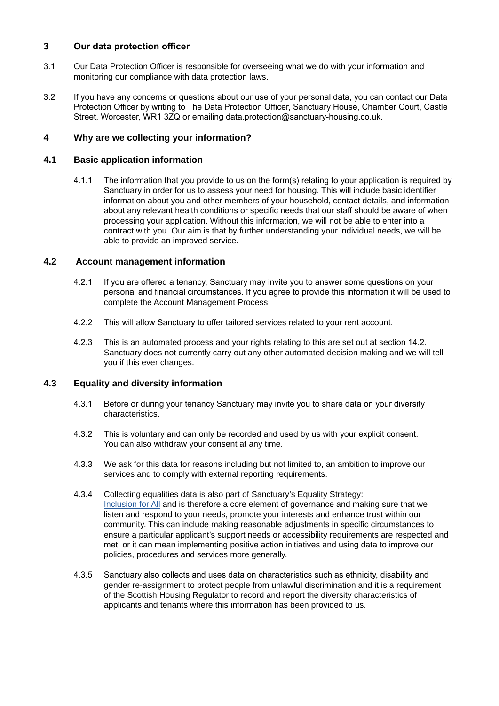# **3 Our data protection officer**

- 3.1 Our Data Protection Officer is responsible for overseeing what we do with your information and monitoring our compliance with data protection laws.
- 3.2 If you have any concerns or questions about our use of your personal data, you can contact our Data Protection Officer by writing to The Data Protection Officer, Sanctuary House, Chamber Court, Castle Street, Worcester, WR1 3ZQ or emailing data.protection@sanctuary-housing.co.uk.

# **4 Why are we collecting your information?**

# **4.1 Basic application information**

4.1.1 The information that you provide to us on the form(s) relating to your application is required by Sanctuary in order for us to assess your need for housing. This will include basic identifier information about you and other members of your household, contact details, and information about any relevant health conditions or specific needs that our staff should be aware of when processing your application. Without this information, we will not be able to enter into a contract with you. Our aim is that by further understanding your individual needs, we will be able to provide an improved service.

# **4.2 Account management information**

- 4.2.1 If you are offered a tenancy, Sanctuary may invite you to answer some questions on your personal and financial circumstances. If you agree to provide this information it will be used to complete the Account Management Process.
- 4.2.2 This will allow Sanctuary to offer tailored services related to your rent account.
- 4.2.3 This is an automated process and your rights relating to this are set out at section 14.2. Sanctuary does not currently carry out any other automated decision making and we will tell you if this ever changes.

#### **4.3 Equality and diversity information**

- 4.3.1 Before or during your tenancy Sanctuary may invite you to share data on your diversity characteristics.
- 4.3.2 This is voluntary and can only be recorded and used by us with your explicit consent. You can also withdraw your consent at any time.
- 4.3.3 We ask for this data for reasons including but not limited to, an ambition to improve our services and to comply with external reporting requirements.
- 4.3.4 Collecting equalities data is also part of Sanctuary's Equality Strategy: Inclusio[n for All](https://www.sanctuary-group.co.uk/sites/default/files/quick_media/sanctuary-group-inclusion-for-all-strategy-2021-2024-april-2021.pdf) and is therefore a core element of governance and making sure that we listen and respond to your needs, promote your interests and enhance trust within our community. This can include making reasonable adjustments in specific circumstances to ensure a particular applicant's support needs or accessibility requirements are respected and met, or it can mean implementing positive action initiatives and using data to improve our policies, procedures and services more generally.
- 4.3.5 Sanctuary also collects and uses data on characteristics such as ethnicity, disability and gender re-assignment to protect people from unlawful discrimination and it is a requirement of the Scottish Housing Regulator to record and report the diversity characteristics of applicants and tenants where this information has been provided to us.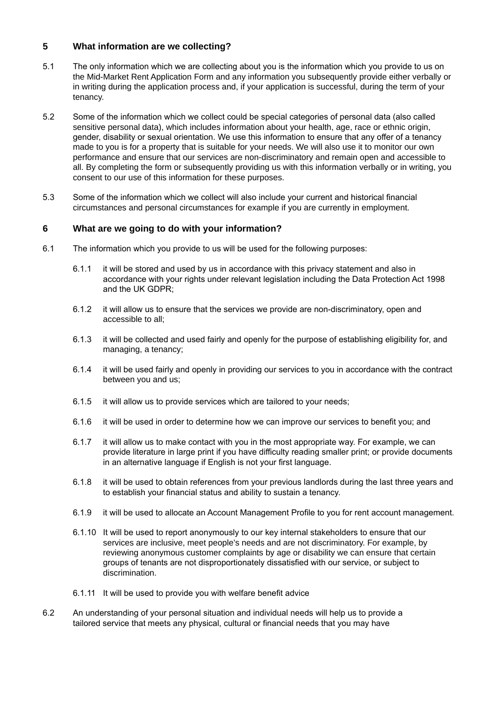# **5 What information are we collecting?**

- 5.1 The only information which we are collecting about you is the information which you provide to us on the Mid-Market Rent Application Form and any information you subsequently provide either verbally or in writing during the application process and, if your application is successful, during the term of your tenancy.
- 5.2 Some of the information which we collect could be special categories of personal data (also called sensitive personal data), which includes information about your health, age, race or ethnic origin, gender, disability or sexual orientation. We use this information to ensure that any offer of a tenancy made to you is for a property that is suitable for your needs. We will also use it to monitor our own performance and ensure that our services are non-discriminatory and remain open and accessible to all. By completing the form or subsequently providing us with this information verbally or in writing, you consent to our use of this information for these purposes.
- 5.3 Some of the information which we collect will also include your current and historical financial circumstances and personal circumstances for example if you are currently in employment.

# **6 What are we going to do with your information?**

- 6.1 The information which you provide to us will be used for the following purposes:
	- 6.1.1 it will be stored and used by us in accordance with this privacy statement and also in accordance with your rights under relevant legislation including the Data Protection Act 1998 and the UK GDPR;
	- 6.1.2 it will allow us to ensure that the services we provide are non-discriminatory, open and accessible to all;
	- 6.1.3 it will be collected and used fairly and openly for the purpose of establishing eligibility for, and managing, a tenancy;
	- 6.1.4 it will be used fairly and openly in providing our services to you in accordance with the contract between you and us;
	- 6.1.5 it will allow us to provide services which are tailored to your needs;
	- 6.1.6 it will be used in order to determine how we can improve our services to benefit you; and
	- 6.1.7 it will allow us to make contact with you in the most appropriate way. For example, we can provide literature in large print if you have difficulty reading smaller print; or provide documents in an alternative language if English is not your first language.
	- 6.1.8 it will be used to obtain references from your previous landlords during the last three years and to establish your financial status and ability to sustain a tenancy.
	- 6.1.9 it will be used to allocate an Account Management Profile to you for rent account management.
	- 6.1.10 It will be used to report anonymously to our key internal stakeholders to ensure that our services are inclusive, meet people's needs and are not discriminatory. For example, by reviewing anonymous customer complaints by age or disability we can ensure that certain groups of tenants are not disproportionately dissatisfied with our service, or subject to discrimination.
	- 6.1.11 It will be used to provide you with welfare benefit advice
- 6.2 An understanding of your personal situation and individual needs will help us to provide a tailored service that meets any physical, cultural or financial needs that you may have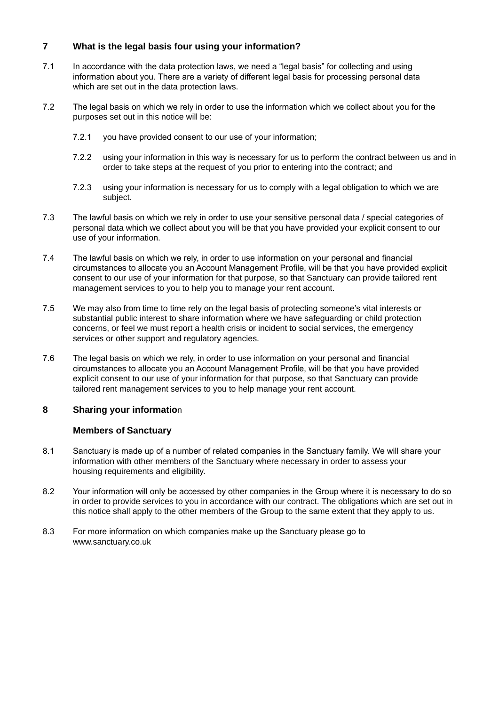# **7 What is the legal basis four using your information?**

- 7.1 In accordance with the data protection laws, we need a "legal basis" for collecting and using information about you. There are a variety of different legal basis for processing personal data which are set out in the data protection laws.
- 7.2 The legal basis on which we rely in order to use the information which we collect about you for the purposes set out in this notice will be:
	- 7.2.1 you have provided consent to our use of your information;
	- 7.2.2 using your information in this way is necessary for us to perform the contract between us and in order to take steps at the request of you prior to entering into the contract; and
	- 7.2.3 using your information is necessary for us to comply with a legal obligation to which we are subject.
- 7.3 The lawful basis on which we rely in order to use your sensitive personal data / special categories of personal data which we collect about you will be that you have provided your explicit consent to our use of your information.
- 7.4 The lawful basis on which we rely, in order to use information on your personal and financial circumstances to allocate you an Account Management Profile, will be that you have provided explicit consent to our use of your information for that purpose, so that Sanctuary can provide tailored rent management services to you to help you to manage your rent account.
- 7.5 We may also from time to time rely on the legal basis of protecting someone's vital interests or substantial public interest to share information where we have safeguarding or child protection concerns, or feel we must report a health crisis or incident to social services, the emergency services or other support and regulatory agencies.
- 7.6 The legal basis on which we rely, in order to use information on your personal and financial circumstances to allocate you an Account Management Profile, will be that you have provided explicit consent to our use of your information for that purpose, so that Sanctuary can provide tailored rent management services to you to help manage your rent account.

#### **8 Sharing your informatio**n

#### **Members of Sanctuary**

- 8.1 Sanctuary is made up of a number of related companies in the Sanctuary family. We will share your information with other members of the Sanctuary where necessary in order to assess your housing requirements and eligibility.
- 8.2 Your information will only be accessed by other companies in the Group where it is necessary to do so in order to provide services to you in accordance with our contract. The obligations which are set out in this notice shall apply to the other members of the Group to the same extent that they apply to us.
- 8.3 For more information on which companies make up the Sanctuary please go to www.sanctuary.co.uk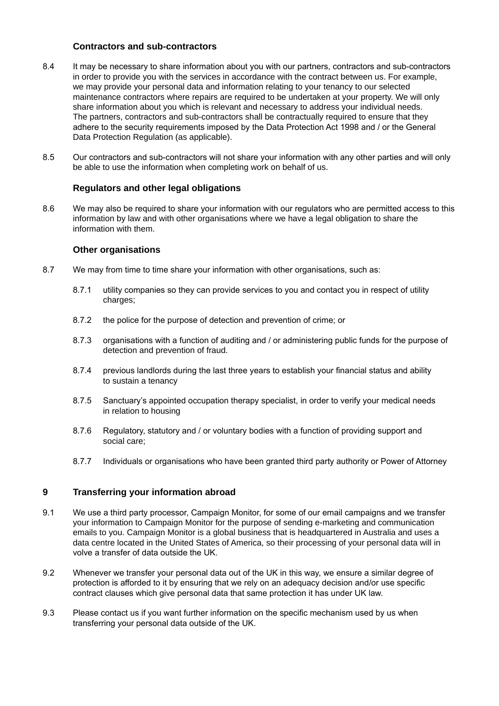#### **Contractors and sub-contractors**

- 8.4 It may be necessary to share information about you with our partners, contractors and sub-contractors in order to provide you with the services in accordance with the contract between us. For example, we may provide your personal data and information relating to your tenancy to our selected maintenance contractors where repairs are required to be undertaken at your property. We will only share information about you which is relevant and necessary to address your individual needs. The partners, contractors and sub-contractors shall be contractually required to ensure that they adhere to the security requirements imposed by the Data Protection Act 1998 and / or the General Data Protection Regulation (as applicable).
- 8.5 Our contractors and sub-contractors will not share your information with any other parties and will only be able to use the information when completing work on behalf of us.

# **Regulators and other legal obligations**

8.6 We may also be required to share your information with our regulators who are permitted access to this information by law and with other organisations where we have a legal obligation to share the information with them.

# **Other organisations**

- 8.7 We may from time to time share your information with other organisations, such as:
	- 8.7.1 utility companies so they can provide services to you and contact you in respect of utility charges;
	- 8.7.2 the police for the purpose of detection and prevention of crime; or
	- 8.7.3 organisations with a function of auditing and / or administering public funds for the purpose of detection and prevention of fraud.
	- 8.7.4 previous landlords during the last three years to establish your financial status and ability to sustain a tenancy
	- 8.7.5 Sanctuary's appointed occupation therapy specialist, in order to verify your medical needs in relation to housing
	- 8.7.6 Regulatory, statutory and / or voluntary bodies with a function of providing support and social care;
	- 8.7.7 Individuals or organisations who have been granted third party authority or Power of Attorney

# **9 Transferring your information abroad**

- 9.1 We use a third party processor, Campaign Monitor, for some of our email campaigns and we transfer your information to Campaign Monitor for the purpose of sending e-marketing and communication emails to you. Campaign Monitor is a global business that is headquartered in Australia and uses a data centre located in the United States of America, so their processing of your personal data will in volve a transfer of data outside the UK.
- 9.2 Whenever we transfer your personal data out of the UK in this way, we ensure a similar degree of protection is afforded to it by ensuring that we rely on an adequacy decision and/or use specific contract clauses which give personal data that same protection it has under UK law.
- 9.3 Please contact us if you want further information on the specific mechanism used by us when transferring your personal data outside of the UK.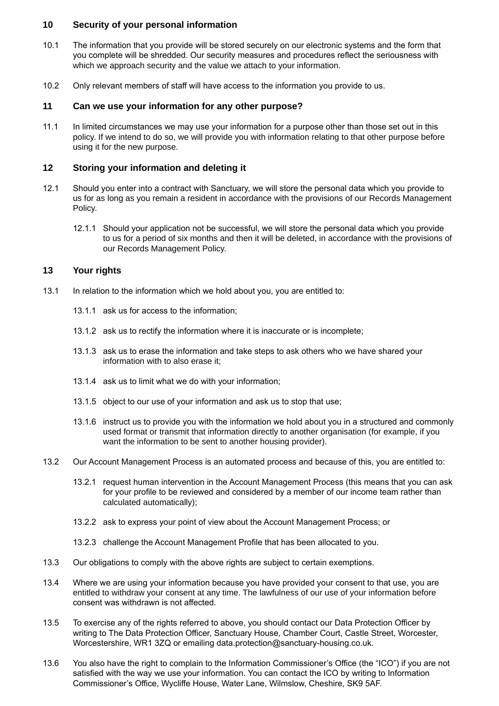#### **10 Security of your personal information**

- 10.1 The information that you provide will be stored securely on our electronic systems and the form that you complete will be shredded. Our security measures and procedures reflect the seriousness with which we approach security and the value we attach to your information.
- 10.2 Only relevant members of staff will have access to the information you provide to us.

# **11 Can we use your information for any other purpose?**

11.1 In limited circumstances we may use your information for a purpose other than those set out in this policy. If we intend to do so, we will provide you with information relating to that other purpose before using it for the new purpose.

#### **12 Storing your information and deleting it**

- 12.1 Should you enter into a contract with Sanctuary, we will store the personal data which you provide to us for as long as you remain a resident in accordance with the provisions of our Records Management Policy.
	- 12.1.1 Should your application not be successful, we will store the personal data which you provide to us for a period of six months and then it will be deleted, in accordance with the provisions of our Records Management Policy.

# **13 Your rights**

- 13.1 In relation to the information which we hold about you, you are entitled to:
	- 13.1.1 ask us for access to the information:
	- 13.1.2 ask us to rectify the information where it is inaccurate or is incomplete;
	- 13.1.3 ask us to erase the information and take steps to ask others who we have shared your information with to also erase it;
	- 13.1.4 ask us to limit what we do with your information;
	- 13.1.5 object to our use of your information and ask us to stop that use;
	- 13.1.6 instruct us to provide you with the information we hold about you in a structured and commonly used format or transmit that information directly to another organisation (for example, if you want the information to be sent to another housing provider).
- 13.2 Our Account Management Process is an automated process and because of this, you are entitled to:
	- 13.2.1 request human intervention in the Account Management Process (this means that you can ask for your profile to be reviewed and considered by a member of our income team rather than calculated automatically);
	- 13.2.2 ask to express your point of view about the Account Management Process; or
	- 13.2.3 challenge the Account Management Profile that has been allocated to you.
- 13.3 Our obligations to comply with the above rights are subject to certain exemptions.
- 13.4 Where we are using your information because you have provided your consent to that use, you are entitled to withdraw your consent at any time. The lawfulness of our use of your information before consent was withdrawn is not affected.
- 13.5 To exercise any of the rights referred to above, you should contact our Data Protection Officer by writing to The Data Protection Officer, Sanctuary House, Chamber Court, Castle Street, Worcester, Worcestershire, WR1 3ZQ or emailing data.protection@sanctuary-housing.co.uk.
- 13.6 You also have the right to complain to the Information Commissioner's Office (the "ICO") if you are not satisfied with the way we use your information. You can contact the ICO by writing to Information Commissioner's Office, Wycliffe House, Water Lane, Wilmslow, Cheshire, SK9 5AF.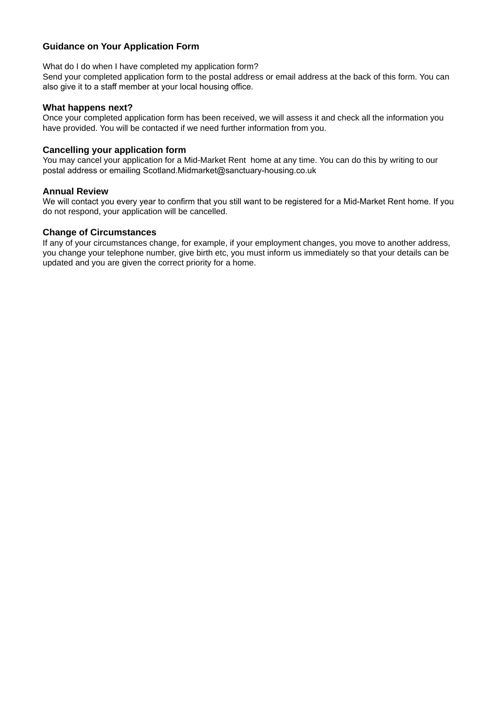# **Guidance on Your Application Form**

What do I do when I have completed my application form?

Send your completed application form to the postal address or email address at the back of this form. You can also give it to a staff member at your local housing office.

#### **What happens next?**

Once your completed application form has been received, we will assess it and check all the information you have provided. You will be contacted if we need further information from you.

#### **Cancelling your application form**

You may cancel your application for a Mid-Market Rent home at any time. You can do this by writing to our postal address or emailing Scotland.Midmarket@sanctuary-housing.co.uk

#### **Annual Review**

We will contact you every year to confirm that you still want to be registered for a Mid-Market Rent home. If you do not respond, your application will be cancelled.

#### **Change of Circumstances**

If any of your circumstances change, for example, if your employment changes, you move to another address, you change your telephone number, give birth etc, you must inform us immediately so that your details can be updated and you are given the correct priority for a home.